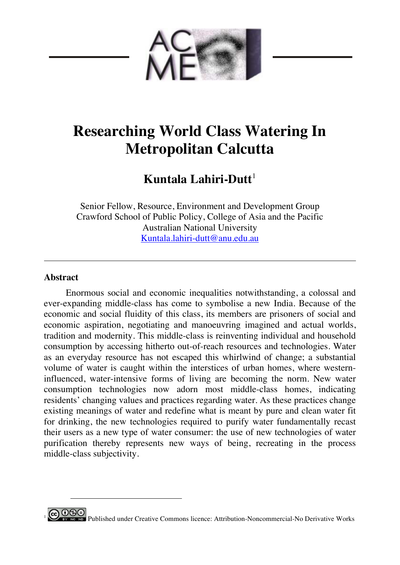

# **Researching World Class Watering In Metropolitan Calcutta**

# **Kuntala Lahiri-Dutt**<sup>1</sup>

Senior Fellow, Resource, Environment and Development Group Crawford School of Public Policy, College of Asia and the Pacific Australian National University Kuntala.lahiri-dutt@anu.edu.au

# **Abstract**

 $\overline{a}$ 

Enormous social and economic inequalities notwithstanding, a colossal and ever-expanding middle-class has come to symbolise a new India. Because of the economic and social fluidity of this class, its members are prisoners of social and economic aspiration, negotiating and manoeuvring imagined and actual worlds, tradition and modernity. This middle-class is reinventing individual and household consumption by accessing hitherto out-of-reach resources and technologies. Water as an everyday resource has not escaped this whirlwind of change; a substantial volume of water is caught within the interstices of urban homes, where westerninfluenced, water-intensive forms of living are becoming the norm. New water consumption technologies now adorn most middle-class homes, indicating residents' changing values and practices regarding water. As these practices change existing meanings of water and redefine what is meant by pure and clean water fit for drinking, the new technologies required to purify water fundamentally recast their users as a new type of water consumer: the use of new technologies of water purification thereby represents new ways of being, recreating in the process middle-class subjectivity.

<sup>0</sup> **9 Published under Creative Commons licence:** Attribution-Noncommercial-No Derivative Works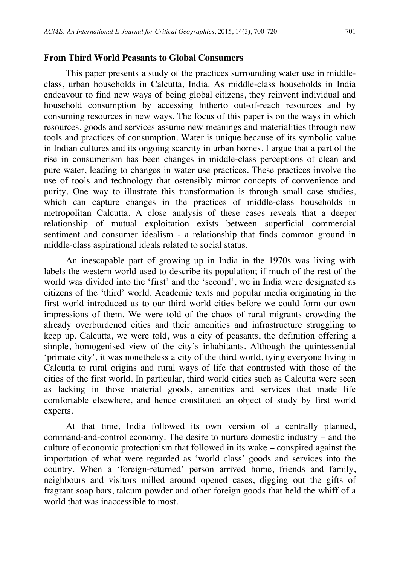### **From Third World Peasants to Global Consumers**

This paper presents a study of the practices surrounding water use in middleclass, urban households in Calcutta, India. As middle-class households in India endeavour to find new ways of being global citizens, they reinvent individual and household consumption by accessing hitherto out-of-reach resources and by consuming resources in new ways. The focus of this paper is on the ways in which resources, goods and services assume new meanings and materialities through new tools and practices of consumption. Water is unique because of its symbolic value in Indian cultures and its ongoing scarcity in urban homes. I argue that a part of the rise in consumerism has been changes in middle-class perceptions of clean and pure water, leading to changes in water use practices. These practices involve the use of tools and technology that ostensibly mirror concepts of convenience and purity. One way to illustrate this transformation is through small case studies, which can capture changes in the practices of middle-class households in metropolitan Calcutta. A close analysis of these cases reveals that a deeper relationship of mutual exploitation exists between superficial commercial sentiment and consumer idealism - a relationship that finds common ground in middle-class aspirational ideals related to social status.

An inescapable part of growing up in India in the 1970s was living with labels the western world used to describe its population; if much of the rest of the world was divided into the 'first' and the 'second', we in India were designated as citizens of the 'third' world. Academic texts and popular media originating in the first world introduced us to our third world cities before we could form our own impressions of them. We were told of the chaos of rural migrants crowding the already overburdened cities and their amenities and infrastructure struggling to keep up. Calcutta, we were told, was a city of peasants, the definition offering a simple, homogenised view of the city's inhabitants. Although the quintessential 'primate city', it was nonetheless a city of the third world, tying everyone living in Calcutta to rural origins and rural ways of life that contrasted with those of the cities of the first world. In particular, third world cities such as Calcutta were seen as lacking in those material goods, amenities and services that made life comfortable elsewhere, and hence constituted an object of study by first world experts.

At that time, India followed its own version of a centrally planned, command-and-control economy. The desire to nurture domestic industry – and the culture of economic protectionism that followed in its wake – conspired against the importation of what were regarded as 'world class' goods and services into the country. When a 'foreign-returned' person arrived home, friends and family, neighbours and visitors milled around opened cases, digging out the gifts of fragrant soap bars, talcum powder and other foreign goods that held the whiff of a world that was inaccessible to most.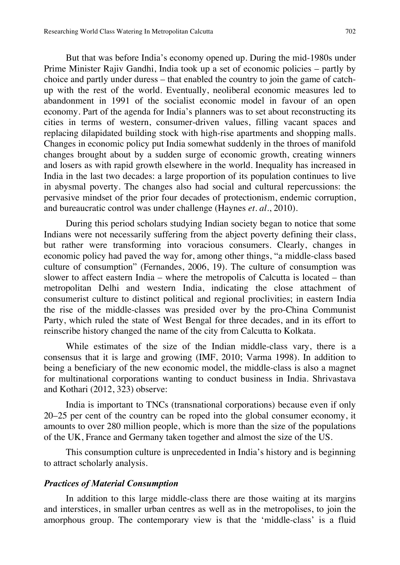But that was before India's economy opened up. During the mid-1980s under Prime Minister Rajiv Gandhi, India took up a set of economic policies – partly by choice and partly under duress – that enabled the country to join the game of catchup with the rest of the world. Eventually, neoliberal economic measures led to abandonment in 1991 of the socialist economic model in favour of an open economy. Part of the agenda for India's planners was to set about reconstructing its cities in terms of western, consumer-driven values, filling vacant spaces and replacing dilapidated building stock with high-rise apartments and shopping malls. Changes in economic policy put India somewhat suddenly in the throes of manifold changes brought about by a sudden surge of economic growth, creating winners and losers as with rapid growth elsewhere in the world. Inequality has increased in India in the last two decades: a large proportion of its population continues to live in abysmal poverty. The changes also had social and cultural repercussions: the pervasive mindset of the prior four decades of protectionism, endemic corruption, and bureaucratic control was under challenge (Haynes *et. al*., 2010).

During this period scholars studying Indian society began to notice that some Indians were not necessarily suffering from the abject poverty defining their class, but rather were transforming into voracious consumers. Clearly, changes in economic policy had paved the way for, among other things, "a middle-class based culture of consumption" (Fernandes, 2006, 19). The culture of consumption was slower to affect eastern India – where the metropolis of Calcutta is located – than metropolitan Delhi and western India, indicating the close attachment of consumerist culture to distinct political and regional proclivities; in eastern India the rise of the middle-classes was presided over by the pro-China Communist Party, which ruled the state of West Bengal for three decades, and in its effort to reinscribe history changed the name of the city from Calcutta to Kolkata.

While estimates of the size of the Indian middle-class vary, there is a consensus that it is large and growing (IMF, 2010; Varma 1998). In addition to being a beneficiary of the new economic model, the middle-class is also a magnet for multinational corporations wanting to conduct business in India. Shrivastava and Kothari (2012, 323) observe:

India is important to TNCs (transnational corporations) because even if only 20–25 per cent of the country can be roped into the global consumer economy, it amounts to over 280 million people, which is more than the size of the populations of the UK, France and Germany taken together and almost the size of the US.

This consumption culture is unprecedented in India's history and is beginning to attract scholarly analysis.

#### *Practices of Material Consumption*

In addition to this large middle-class there are those waiting at its margins and interstices, in smaller urban centres as well as in the metropolises, to join the amorphous group. The contemporary view is that the 'middle-class' is a fluid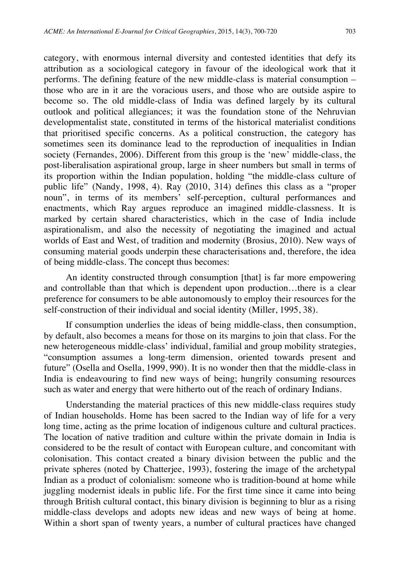category, with enormous internal diversity and contested identities that defy its attribution as a sociological category in favour of the ideological work that it performs. The defining feature of the new middle-class is material consumption – those who are in it are the voracious users, and those who are outside aspire to become so. The old middle-class of India was defined largely by its cultural outlook and political allegiances; it was the foundation stone of the Nehruvian developmentalist state, constituted in terms of the historical materialist conditions that prioritised specific concerns. As a political construction, the category has sometimes seen its dominance lead to the reproduction of inequalities in Indian society (Fernandes, 2006). Different from this group is the 'new' middle-class, the post-liberalisation aspirational group, large in sheer numbers but small in terms of its proportion within the Indian population, holding "the middle-class culture of public life" (Nandy, 1998, 4). Ray (2010, 314) defines this class as a "proper noun", in terms of its members' self-perception, cultural performances and enactments, which Ray argues reproduce an imagined middle-classness. It is marked by certain shared characteristics, which in the case of India include aspirationalism, and also the necessity of negotiating the imagined and actual worlds of East and West, of tradition and modernity (Brosius, 2010). New ways of consuming material goods underpin these characterisations and, therefore, the idea of being middle-class. The concept thus becomes:

An identity constructed through consumption [that] is far more empowering and controllable than that which is dependent upon production…there is a clear preference for consumers to be able autonomously to employ their resources for the self-construction of their individual and social identity (Miller, 1995, 38).

If consumption underlies the ideas of being middle-class, then consumption, by default, also becomes a means for those on its margins to join that class. For the new heterogeneous middle-class' individual, familial and group mobility strategies, "consumption assumes a long-term dimension, oriented towards present and future" (Osella and Osella, 1999, 990). It is no wonder then that the middle-class in India is endeavouring to find new ways of being; hungrily consuming resources such as water and energy that were hitherto out of the reach of ordinary Indians.

Understanding the material practices of this new middle-class requires study of Indian households. Home has been sacred to the Indian way of life for a very long time, acting as the prime location of indigenous culture and cultural practices. The location of native tradition and culture within the private domain in India is considered to be the result of contact with European culture, and concomitant with colonisation. This contact created a binary division between the public and the private spheres (noted by Chatterjee, 1993), fostering the image of the archetypal Indian as a product of colonialism: someone who is tradition-bound at home while juggling modernist ideals in public life. For the first time since it came into being through British cultural contact, this binary division is beginning to blur as a rising middle-class develops and adopts new ideas and new ways of being at home. Within a short span of twenty years, a number of cultural practices have changed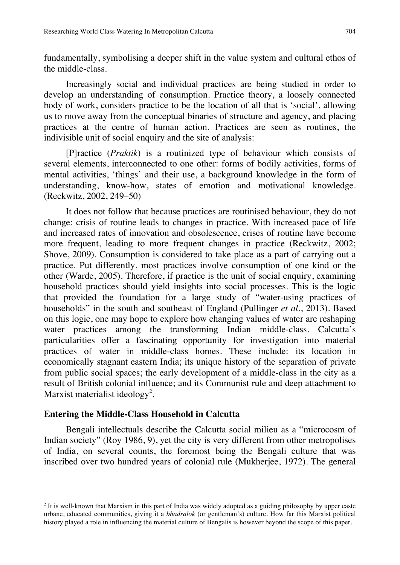fundamentally, symbolising a deeper shift in the value system and cultural ethos of the middle-class.

Increasingly social and individual practices are being studied in order to develop an understanding of consumption. Practice theory, a loosely connected body of work, considers practice to be the location of all that is 'social', allowing us to move away from the conceptual binaries of structure and agency, and placing practices at the centre of human action. Practices are seen as routines, the indivisible unit of social enquiry and the site of analysis:

[P]ractice (*Praktik*) is a routinized type of behaviour which consists of several elements, interconnected to one other: forms of bodily activities, forms of mental activities, 'things' and their use, a background knowledge in the form of understanding, know-how, states of emotion and motivational knowledge. (Reckwitz, 2002, 249–50)

It does not follow that because practices are routinised behaviour, they do not change: crisis of routine leads to changes in practice. With increased pace of life and increased rates of innovation and obsolescence, crises of routine have become more frequent, leading to more frequent changes in practice (Reckwitz, 2002; Shove, 2009). Consumption is considered to take place as a part of carrying out a practice. Put differently, most practices involve consumption of one kind or the other (Warde, 2005). Therefore, if practice is the unit of social enquiry, examining household practices should yield insights into social processes. This is the logic that provided the foundation for a large study of "water-using practices of households" in the south and southeast of England (Pullinger *et al.*, 2013). Based on this logic, one may hope to explore how changing values of water are reshaping water practices among the transforming Indian middle-class. Calcutta's particularities offer a fascinating opportunity for investigation into material practices of water in middle-class homes. These include: its location in economically stagnant eastern India; its unique history of the separation of private from public social spaces; the early development of a middle-class in the city as a result of British colonial influence; and its Communist rule and deep attachment to Marxist materialist ideology<sup>2</sup>.

#### **Entering the Middle-Class Household in Calcutta**

 $\overline{a}$ 

Bengali intellectuals describe the Calcutta social milieu as a "microcosm of Indian society" (Roy 1986, 9), yet the city is very different from other metropolises of India, on several counts, the foremost being the Bengali culture that was inscribed over two hundred years of colonial rule (Mukherjee, 1972). The general

<sup>&</sup>lt;sup>2</sup> It is well-known that Marxism in this part of India was widely adopted as a guiding philosophy by upper caste urbane, educated communities, giving it a *bhadralok* (or gentleman's) culture. How far this Marxist political history played a role in influencing the material culture of Bengalis is however beyond the scope of this paper.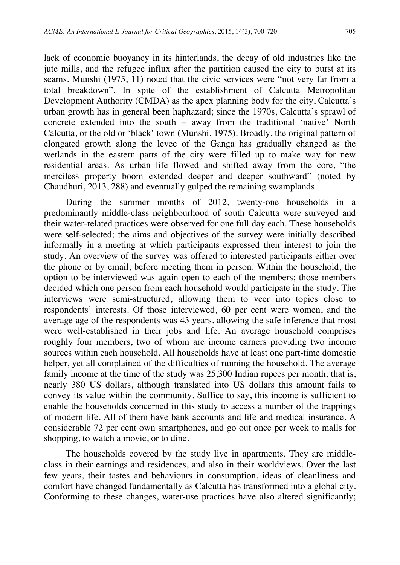lack of economic buoyancy in its hinterlands, the decay of old industries like the jute mills, and the refugee influx after the partition caused the city to burst at its seams. Munshi (1975, 11) noted that the civic services were "not very far from a total breakdown". In spite of the establishment of Calcutta Metropolitan Development Authority (CMDA) as the apex planning body for the city, Calcutta's urban growth has in general been haphazard; since the 1970s, Calcutta's sprawl of concrete extended into the south – away from the traditional 'native' North Calcutta, or the old or 'black' town (Munshi, 1975). Broadly, the original pattern of elongated growth along the levee of the Ganga has gradually changed as the wetlands in the eastern parts of the city were filled up to make way for new residential areas. As urban life flowed and shifted away from the core, "the merciless property boom extended deeper and deeper southward" (noted by Chaudhuri, 2013, 288) and eventually gulped the remaining swamplands.

During the summer months of 2012, twenty-one households in a predominantly middle-class neighbourhood of south Calcutta were surveyed and their water-related practices were observed for one full day each. These households were self-selected; the aims and objectives of the survey were initially described informally in a meeting at which participants expressed their interest to join the study. An overview of the survey was offered to interested participants either over the phone or by email, before meeting them in person. Within the household, the option to be interviewed was again open to each of the members; those members decided which one person from each household would participate in the study. The interviews were semi-structured, allowing them to veer into topics close to respondents' interests. Of those interviewed, 60 per cent were women, and the average age of the respondents was 43 years, allowing the safe inference that most were well-established in their jobs and life. An average household comprises roughly four members, two of whom are income earners providing two income sources within each household. All households have at least one part-time domestic helper, yet all complained of the difficulties of running the household. The average family income at the time of the study was 25,300 Indian rupees per month; that is, nearly 380 US dollars, although translated into US dollars this amount fails to convey its value within the community. Suffice to say, this income is sufficient to enable the households concerned in this study to access a number of the trappings of modern life. All of them have bank accounts and life and medical insurance. A considerable 72 per cent own smartphones, and go out once per week to malls for shopping, to watch a movie, or to dine.

The households covered by the study live in apartments. They are middleclass in their earnings and residences, and also in their worldviews. Over the last few years, their tastes and behaviours in consumption, ideas of cleanliness and comfort have changed fundamentally as Calcutta has transformed into a global city. Conforming to these changes, water-use practices have also altered significantly;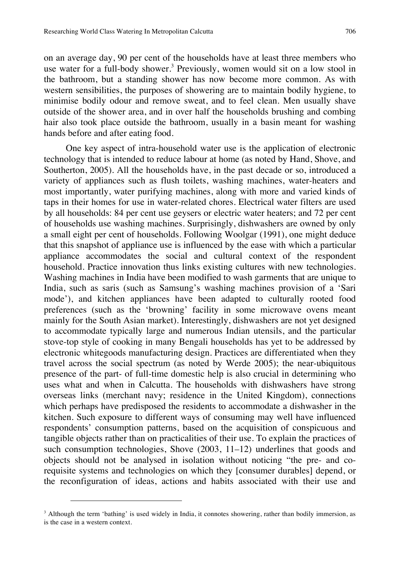on an average day, 90 per cent of the households have at least three members who use water for a full-body shower.<sup>3</sup> Previously, women would sit on a low stool in the bathroom, but a standing shower has now become more common. As with western sensibilities, the purposes of showering are to maintain bodily hygiene, to minimise bodily odour and remove sweat, and to feel clean. Men usually shave outside of the shower area, and in over half the households brushing and combing hair also took place outside the bathroom, usually in a basin meant for washing hands before and after eating food.

One key aspect of intra-household water use is the application of electronic technology that is intended to reduce labour at home (as noted by Hand, Shove, and Southerton, 2005). All the households have, in the past decade or so, introduced a variety of appliances such as flush toilets, washing machines, water-heaters and most importantly, water purifying machines, along with more and varied kinds of taps in their homes for use in water-related chores. Electrical water filters are used by all households: 84 per cent use geysers or electric water heaters; and 72 per cent of households use washing machines. Surprisingly, dishwashers are owned by only a small eight per cent of households. Following Woolgar (1991), one might deduce that this snapshot of appliance use is influenced by the ease with which a particular appliance accommodates the social and cultural context of the respondent household. Practice innovation thus links existing cultures with new technologies. Washing machines in India have been modified to wash garments that are unique to India, such as saris (such as Samsung's washing machines provision of a 'Sari mode'), and kitchen appliances have been adapted to culturally rooted food preferences (such as the 'browning' facility in some microwave ovens meant mainly for the South Asian market). Interestingly, dishwashers are not yet designed to accommodate typically large and numerous Indian utensils, and the particular stove-top style of cooking in many Bengali households has yet to be addressed by electronic whitegoods manufacturing design. Practices are differentiated when they travel across the social spectrum (as noted by Werde 2005); the near-ubiquitous presence of the part- of full-time domestic help is also crucial in determining who uses what and when in Calcutta. The households with dishwashers have strong overseas links (merchant navy; residence in the United Kingdom), connections which perhaps have predisposed the residents to accommodate a dishwasher in the kitchen. Such exposure to different ways of consuming may well have influenced respondents' consumption patterns, based on the acquisition of conspicuous and tangible objects rather than on practicalities of their use. To explain the practices of such consumption technologies, Shove (2003, 11–12) underlines that goods and objects should not be analysed in isolation without noticing "the pre- and corequisite systems and technologies on which they [consumer durables] depend, or the reconfiguration of ideas, actions and habits associated with their use and

<sup>&</sup>lt;sup>3</sup> Although the term 'bathing' is used widely in India, it connotes showering, rather than bodily immersion, as is the case in a western context.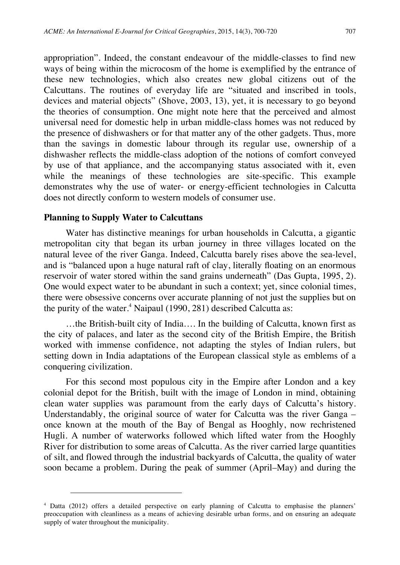appropriation". Indeed, the constant endeavour of the middle-classes to find new ways of being within the microcosm of the home is exemplified by the entrance of these new technologies, which also creates new global citizens out of the Calcuttans. The routines of everyday life are "situated and inscribed in tools, devices and material objects" (Shove, 2003, 13), yet, it is necessary to go beyond the theories of consumption. One might note here that the perceived and almost universal need for domestic help in urban middle-class homes was not reduced by the presence of dishwashers or for that matter any of the other gadgets. Thus, more than the savings in domestic labour through its regular use, ownership of a dishwasher reflects the middle-class adoption of the notions of comfort conveyed by use of that appliance, and the accompanying status associated with it, even while the meanings of these technologies are site-specific. This example demonstrates why the use of water- or energy-efficient technologies in Calcutta does not directly conform to western models of consumer use.

#### **Planning to Supply Water to Calcuttans**

 $\overline{a}$ 

Water has distinctive meanings for urban households in Calcutta, a gigantic metropolitan city that began its urban journey in three villages located on the natural levee of the river Ganga. Indeed, Calcutta barely rises above the sea-level, and is "balanced upon a huge natural raft of clay, literally floating on an enormous reservoir of water stored within the sand grains underneath" (Das Gupta, 1995, 2). One would expect water to be abundant in such a context; yet, since colonial times, there were obsessive concerns over accurate planning of not just the supplies but on the purity of the water.<sup>4</sup> Naipaul (1990, 281) described Calcutta as:

…the British-built city of India…. In the building of Calcutta, known first as the city of palaces, and later as the second city of the British Empire, the British worked with immense confidence, not adapting the styles of Indian rulers, but setting down in India adaptations of the European classical style as emblems of a conquering civilization.

For this second most populous city in the Empire after London and a key colonial depot for the British, built with the image of London in mind, obtaining clean water supplies was paramount from the early days of Calcutta's history. Understandably, the original source of water for Calcutta was the river Ganga – once known at the mouth of the Bay of Bengal as Hooghly, now rechristened Hugli. A number of waterworks followed which lifted water from the Hooghly River for distribution to some areas of Calcutta. As the river carried large quantities of silt, and flowed through the industrial backyards of Calcutta, the quality of water soon became a problem. During the peak of summer (April–May) and during the

<sup>4</sup> Datta (2012) offers a detailed perspective on early planning of Calcutta to emphasise the planners' preoccupation with cleanliness as a means of achieving desirable urban forms, and on ensuring an adequate supply of water throughout the municipality.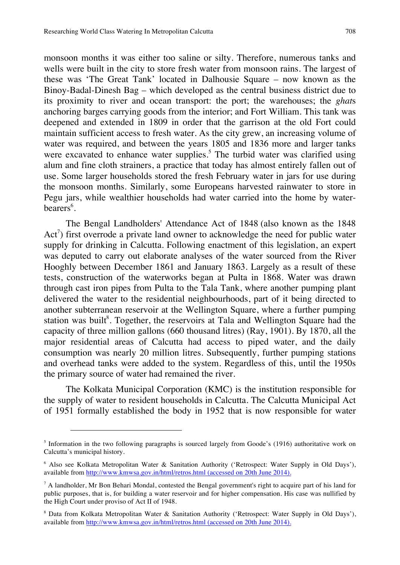monsoon months it was either too saline or silty. Therefore, numerous tanks and wells were built in the city to store fresh water from monsoon rains. The largest of these was 'The Great Tank' located in Dalhousie Square – now known as the Binoy-Badal-Dinesh Bag – which developed as the central business district due to its proximity to river and ocean transport: the port; the warehouses; the *ghat*s anchoring barges carrying goods from the interior; and Fort William. This tank was deepened and extended in 1809 in order that the garrison at the old Fort could maintain sufficient access to fresh water. As the city grew, an increasing volume of water was required, and between the years 1805 and 1836 more and larger tanks were excavated to enhance water supplies.<sup>5</sup> The turbid water was clarified using alum and fine cloth strainers, a practice that today has almost entirely fallen out of use. Some larger households stored the fresh February water in jars for use during the monsoon months. Similarly, some Europeans harvested rainwater to store in Pegu jars, while wealthier households had water carried into the home by waterbearers<sup>6</sup>.

The Bengal Landholders' Attendance Act of 1848 (also known as the 1848 Act<sup>7</sup>) first overrode a private land owner to acknowledge the need for public water supply for drinking in Calcutta. Following enactment of this legislation, an expert was deputed to carry out elaborate analyses of the water sourced from the River Hooghly between December 1861 and January 1863. Largely as a result of these tests, construction of the waterworks began at Pulta in 1868. Water was drawn through cast iron pipes from Pulta to the Tala Tank, where another pumping plant delivered the water to the residential neighbourhoods, part of it being directed to another subterranean reservoir at the Wellington Square, where a further pumping station was built<sup>8</sup>. Together, the reservoirs at Tala and Wellington Square had the capacity of three million gallons (660 thousand litres) (Ray, 1901). By 1870, all the major residential areas of Calcutta had access to piped water, and the daily consumption was nearly 20 million litres. Subsequently, further pumping stations and overhead tanks were added to the system. Regardless of this, until the 1950s the primary source of water had remained the river.

The Kolkata Municipal Corporation (KMC) is the institution responsible for the supply of water to resident households in Calcutta. The Calcutta Municipal Act of 1951 formally established the body in 1952 that is now responsible for water

<sup>&</sup>lt;sup>5</sup> Information in the two following paragraphs is sourced largely from Goode's (1916) authoritative work on Calcutta's municipal history.

<sup>6</sup> Also see Kolkata Metropolitan Water & Sanitation Authority ('Retrospect: Water Supply in Old Days'), available from http://www.kmwsa.gov.in/html/retros.html (accessed on 20th June 2014).

<sup>7</sup> A landholder, Mr Bon Behari Mondal, contested the Bengal government's right to acquire part of his land for public purposes, that is, for building a water reservoir and for higher compensation. His case was nullified by the High Court under proviso of Act II of 1948.

<sup>&</sup>lt;sup>8</sup> Data from Kolkata Metropolitan Water & Sanitation Authority ('Retrospect: Water Supply in Old Days'), available from http://www.kmwsa.gov.in/html/retros.html (accessed on 20th June 2014).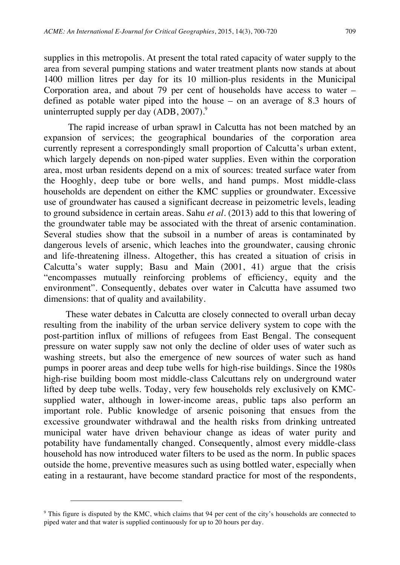supplies in this metropolis. At present the total rated capacity of water supply to the area from several pumping stations and water treatment plants now stands at about 1400 million litres per day for its 10 million-plus residents in the Municipal Corporation area, and about 79 per cent of households have access to water – defined as potable water piped into the house – on an average of 8.3 hours of uninterrupted supply per day  $(ADB, 2007)^9$ .

The rapid increase of urban sprawl in Calcutta has not been matched by an expansion of services; the geographical boundaries of the corporation area currently represent a correspondingly small proportion of Calcutta's urban extent, which largely depends on non-piped water supplies. Even within the corporation area, most urban residents depend on a mix of sources: treated surface water from the Hooghly, deep tube or bore wells, and hand pumps. Most middle-class households are dependent on either the KMC supplies or groundwater. Excessive use of groundwater has caused a significant decrease in peizometric levels, leading to ground subsidence in certain areas. Sahu *et al.* (2013) add to this that lowering of the groundwater table may be associated with the threat of arsenic contamination. Several studies show that the subsoil in a number of areas is contaminated by dangerous levels of arsenic, which leaches into the groundwater, causing chronic and life-threatening illness. Altogether, this has created a situation of crisis in Calcutta's water supply; Basu and Main (2001, 41) argue that the crisis "encompasses mutually reinforcing problems of efficiency, equity and the environment". Consequently, debates over water in Calcutta have assumed two dimensions: that of quality and availability.

These water debates in Calcutta are closely connected to overall urban decay resulting from the inability of the urban service delivery system to cope with the post-partition influx of millions of refugees from East Bengal. The consequent pressure on water supply saw not only the decline of older uses of water such as washing streets, but also the emergence of new sources of water such as hand pumps in poorer areas and deep tube wells for high-rise buildings. Since the 1980s high-rise building boom most middle-class Calcuttans rely on underground water lifted by deep tube wells. Today, very few households rely exclusively on KMCsupplied water, although in lower-income areas, public taps also perform an important role. Public knowledge of arsenic poisoning that ensues from the excessive groundwater withdrawal and the health risks from drinking untreated municipal water have driven behaviour change as ideas of water purity and potability have fundamentally changed. Consequently, almost every middle-class household has now introduced water filters to be used as the norm. In public spaces outside the home, preventive measures such as using bottled water, especially when eating in a restaurant, have become standard practice for most of the respondents,

<sup>&</sup>lt;sup>9</sup> This figure is disputed by the KMC, which claims that 94 per cent of the city's households are connected to piped water and that water is supplied continuously for up to 20 hours per day.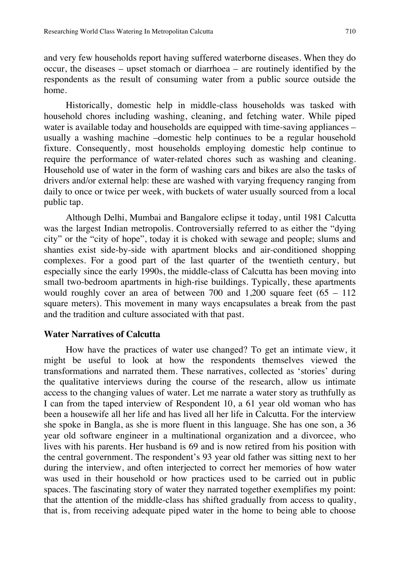and very few households report having suffered waterborne diseases. When they do occur, the diseases – upset stomach or diarrhoea – are routinely identified by the respondents as the result of consuming water from a public source outside the home.

Historically, domestic help in middle-class households was tasked with household chores including washing, cleaning, and fetching water. While piped water is available today and households are equipped with time-saving appliances – usually a washing machine –domestic help continues to be a regular household fixture. Consequently, most households employing domestic help continue to require the performance of water-related chores such as washing and cleaning. Household use of water in the form of washing cars and bikes are also the tasks of drivers and/or external help: these are washed with varying frequency ranging from daily to once or twice per week, with buckets of water usually sourced from a local public tap.

Although Delhi, Mumbai and Bangalore eclipse it today, until 1981 Calcutta was the largest Indian metropolis. Controversially referred to as either the "dying city" or the "city of hope", today it is choked with sewage and people; slums and shanties exist side-by-side with apartment blocks and air-conditioned shopping complexes. For a good part of the last quarter of the twentieth century, but especially since the early 1990s, the middle-class of Calcutta has been moving into small two-bedroom apartments in high-rise buildings. Typically, these apartments would roughly cover an area of between 700 and  $1,200$  square feet  $(65 - 112)$ square meters). This movement in many ways encapsulates a break from the past and the tradition and culture associated with that past.

# **Water Narratives of Calcutta**

How have the practices of water use changed? To get an intimate view, it might be useful to look at how the respondents themselves viewed the transformations and narrated them. These narratives, collected as 'stories' during the qualitative interviews during the course of the research, allow us intimate access to the changing values of water. Let me narrate a water story as truthfully as I can from the taped interview of Respondent 10, a 61 year old woman who has been a housewife all her life and has lived all her life in Calcutta. For the interview she spoke in Bangla, as she is more fluent in this language. She has one son, a 36 year old software engineer in a multinational organization and a divorcee, who lives with his parents. Her husband is 69 and is now retired from his position with the central government. The respondent's 93 year old father was sitting next to her during the interview, and often interjected to correct her memories of how water was used in their household or how practices used to be carried out in public spaces. The fascinating story of water they narrated together exemplifies my point: that the attention of the middle-class has shifted gradually from access to quality, that is, from receiving adequate piped water in the home to being able to choose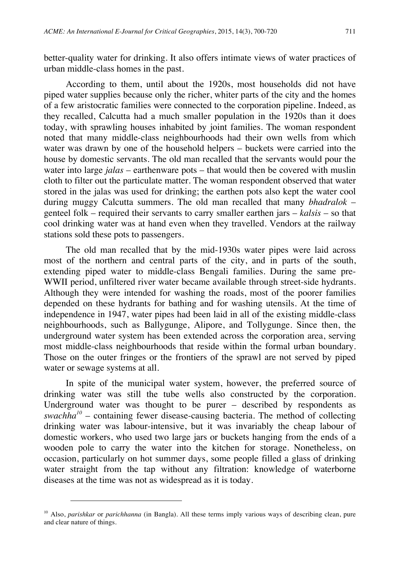better-quality water for drinking. It also offers intimate views of water practices of urban middle-class homes in the past.

According to them, until about the 1920s, most households did not have piped water supplies because only the richer, whiter parts of the city and the homes of a few aristocratic families were connected to the corporation pipeline. Indeed, as they recalled, Calcutta had a much smaller population in the 1920s than it does today, with sprawling houses inhabited by joint families. The woman respondent noted that many middle-class neighbourhoods had their own wells from which water was drawn by one of the household helpers – buckets were carried into the house by domestic servants. The old man recalled that the servants would pour the water into large *jalas* – earthenware pots – that would then be covered with muslin cloth to filter out the particulate matter. The woman respondent observed that water stored in the jalas was used for drinking; the earthen pots also kept the water cool during muggy Calcutta summers. The old man recalled that many *bhadralok* – genteel folk – required their servants to carry smaller earthen jars – *kalsis* – so that cool drinking water was at hand even when they travelled. Vendors at the railway stations sold these pots to passengers.

The old man recalled that by the mid-1930s water pipes were laid across most of the northern and central parts of the city, and in parts of the south, extending piped water to middle-class Bengali families. During the same pre-WWII period, unfiltered river water became available through street-side hydrants. Although they were intended for washing the roads, most of the poorer families depended on these hydrants for bathing and for washing utensils. At the time of independence in 1947, water pipes had been laid in all of the existing middle-class neighbourhoods, such as Ballygunge, Alipore, and Tollygunge. Since then, the underground water system has been extended across the corporation area, serving most middle-class neighbourhoods that reside within the formal urban boundary. Those on the outer fringes or the frontiers of the sprawl are not served by piped water or sewage systems at all.

In spite of the municipal water system, however, the preferred source of drinking water was still the tube wells also constructed by the corporation. Underground water was thought to be purer – described by respondents as *swachha<sup>10</sup>* – containing fewer disease-causing bacteria. The method of collecting drinking water was labour-intensive, but it was invariably the cheap labour of domestic workers, who used two large jars or buckets hanging from the ends of a wooden pole to carry the water into the kitchen for storage. Nonetheless, on occasion, particularly on hot summer days, some people filled a glass of drinking water straight from the tap without any filtration: knowledge of waterborne diseases at the time was not as widespread as it is today.

<sup>&</sup>lt;sup>10</sup> Also, *parishkar* or *parichhanna* (in Bangla). All these terms imply various ways of describing clean, pure and clear nature of things.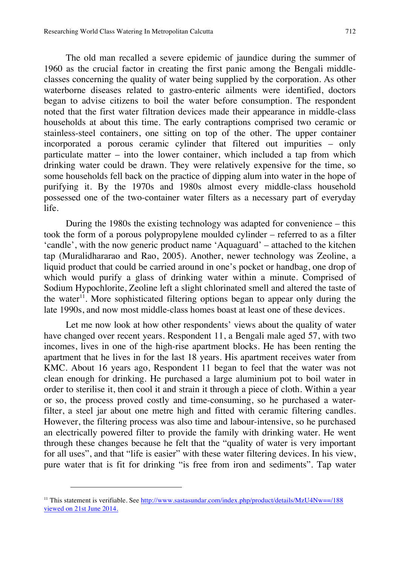The old man recalled a severe epidemic of jaundice during the summer of 1960 as the crucial factor in creating the first panic among the Bengali middleclasses concerning the quality of water being supplied by the corporation. As other waterborne diseases related to gastro-enteric ailments were identified, doctors began to advise citizens to boil the water before consumption. The respondent noted that the first water filtration devices made their appearance in middle-class households at about this time. The early contraptions comprised two ceramic or stainless-steel containers, one sitting on top of the other. The upper container incorporated a porous ceramic cylinder that filtered out impurities – only particulate matter – into the lower container, which included a tap from which drinking water could be drawn. They were relatively expensive for the time, so some households fell back on the practice of dipping alum into water in the hope of purifying it. By the 1970s and 1980s almost every middle-class household possessed one of the two-container water filters as a necessary part of everyday life.

During the 1980s the existing technology was adapted for convenience – this took the form of a porous polypropylene moulded cylinder – referred to as a filter 'candle', with the now generic product name 'Aquaguard' – attached to the kitchen tap (Muralidhararao and Rao, 2005). Another, newer technology was Zeoline, a liquid product that could be carried around in one's pocket or handbag, one drop of which would purify a glass of drinking water within a minute. Comprised of Sodium Hypochlorite, Zeoline left a slight chlorinated smell and altered the taste of the water<sup>11</sup>. More sophisticated filtering options began to appear only during the late 1990s, and now most middle-class homes boast at least one of these devices.

Let me now look at how other respondents' views about the quality of water have changed over recent years. Respondent 11, a Bengali male aged 57, with two incomes, lives in one of the high-rise apartment blocks. He has been renting the apartment that he lives in for the last 18 years. His apartment receives water from KMC. About 16 years ago, Respondent 11 began to feel that the water was not clean enough for drinking. He purchased a large aluminium pot to boil water in order to sterilise it, then cool it and strain it through a piece of cloth. Within a year or so, the process proved costly and time-consuming, so he purchased a waterfilter, a steel jar about one metre high and fitted with ceramic filtering candles. However, the filtering process was also time and labour-intensive, so he purchased an electrically powered filter to provide the family with drinking water. He went through these changes because he felt that the "quality of water is very important for all uses", and that "life is easier" with these water filtering devices. In his view, pure water that is fit for drinking "is free from iron and sediments". Tap water

<sup>&</sup>lt;sup>11</sup> This statement is verifiable. See http://www.sastasundar.com/index.php/product/details/MzU4Nw==/188 viewed on 21st June 2014.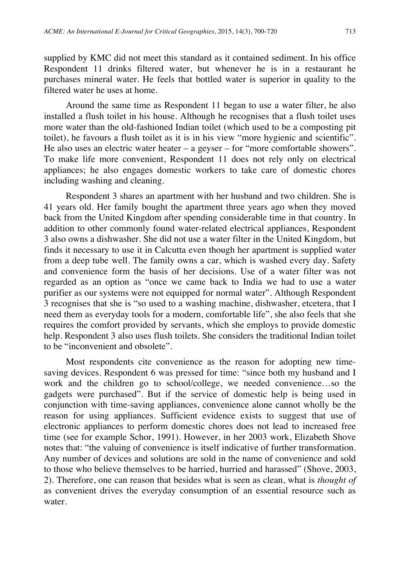supplied by KMC did not meet this standard as it contained sediment. In his office Respondent 11 drinks filtered water, but whenever he is in a restaurant he purchases mineral water. He feels that bottled water is superior in quality to the filtered water he uses at home.

Around the same time as Respondent 11 began to use a water filter, he also installed a flush toilet in his house. Although he recognises that a flush toilet uses more water than the old-fashioned Indian toilet (which used to be a composting pit toilet), he favours a flush toilet as it is in his view "more hygienic and scientific". He also uses an electric water heater – a geyser – for "more comfortable showers". To make life more convenient, Respondent 11 does not rely only on electrical appliances; he also engages domestic workers to take care of domestic chores including washing and cleaning.

Respondent 3 shares an apartment with her husband and two children. She is 41 years old. Her family bought the apartment three years ago when they moved back from the United Kingdom after spending considerable time in that country. In addition to other commonly found water-related electrical appliances, Respondent 3 also owns a dishwasher. She did not use a water filter in the United Kingdom, but finds it necessary to use it in Calcutta even though her apartment is supplied water from a deep tube well. The family owns a car, which is washed every day. Safety and convenience form the basis of her decisions. Use of a water filter was not regarded as an option as "once we came back to India we had to use a water purifier as our systems were not equipped for normal water". Although Respondent 3 recognises that she is "so used to a washing machine, dishwasher, etcetera, that I need them as everyday tools for a modern, comfortable life", she also feels that she requires the comfort provided by servants, which she employs to provide domestic help. Respondent 3 also uses flush toilets. She considers the traditional Indian toilet to be "inconvenient and obsolete".

Most respondents cite convenience as the reason for adopting new timesaving devices. Respondent 6 was pressed for time: "since both my husband and I work and the children go to school/college, we needed convenience…so the gadgets were purchased". But if the service of domestic help is being used in conjunction with time-saving appliances, convenience alone cannot wholly be the reason for using appliances. Sufficient evidence exists to suggest that use of electronic appliances to perform domestic chores does not lead to increased free time (see for example Schor, 1991). However, in her 2003 work, Elizabeth Shove notes that: "the valuing of convenience is itself indicative of further transformation. Any number of devices and solutions are sold in the name of convenience and sold to those who believe themselves to be harried, hurried and harassed" (Shove, 2003, 2). Therefore, one can reason that besides what is seen as clean, what is *thought of* as convenient drives the everyday consumption of an essential resource such as water.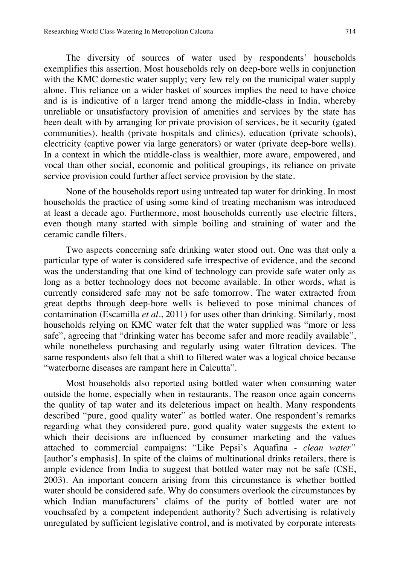The diversity of sources of water used by respondents' households exemplifies this assertion. Most households rely on deep-bore wells in conjunction with the KMC domestic water supply; very few rely on the municipal water supply alone. This reliance on a wider basket of sources implies the need to have choice and is is indicative of a larger trend among the middle-class in India, whereby unreliable or unsatisfactory provision of amenities and services by the state has been dealt with by arranging for private provision of services, be it security (gated communities), health (private hospitals and clinics), education (private schools), electricity (captive power via large generators) or water (private deep-bore wells). In a context in which the middle-class is wealthier, more aware, empowered, and vocal than other social, economic and political groupings, its reliance on private service provision could further affect service provision by the state.

None of the households report using untreated tap water for drinking. In most households the practice of using some kind of treating mechanism was introduced at least a decade ago. Furthermore, most households currently use electric filters, even though many started with simple boiling and straining of water and the ceramic candle filters.

Two aspects concerning safe drinking water stood out. One was that only a particular type of water is considered safe irrespective of evidence, and the second was the understanding that one kind of technology can provide safe water only as long as a better technology does not become available. In other words, what is currently considered safe may not be safe tomorrow. The water extracted from great depths through deep-bore wells is believed to pose minimal chances of contamination (Escamilla *et al.*, 2011) for uses other than drinking. Similarly, most households relying on KMC water felt that the water supplied was "more or less safe", agreeing that "drinking water has become safer and more readily available", while nonetheless purchasing and regularly using water filtration devices. The same respondents also felt that a shift to filtered water was a logical choice because "waterborne diseases are rampant here in Calcutta".

Most households also reported using bottled water when consuming water outside the home, especially when in restaurants. The reason once again concerns the quality of tap water and its deleterious impact on health. Many respondents described "pure, good quality water" as bottled water. One respondent's remarks regarding what they considered pure, good quality water suggests the extent to which their decisions are influenced by consumer marketing and the values attached to commercial campaigns: "Like Pepsi's Aquafina - *clean water"* [author's emphasis]. In spite of the claims of multinational drinks retailers, there is ample evidence from India to suggest that bottled water may not be safe (CSE, 2003). An important concern arising from this circumstance is whether bottled water should be considered safe. Why do consumers overlook the circumstances by which Indian manufacturers' claims of the purity of bottled water are not vouchsafed by a competent independent authority? Such advertising is relatively unregulated by sufficient legislative control, and is motivated by corporate interests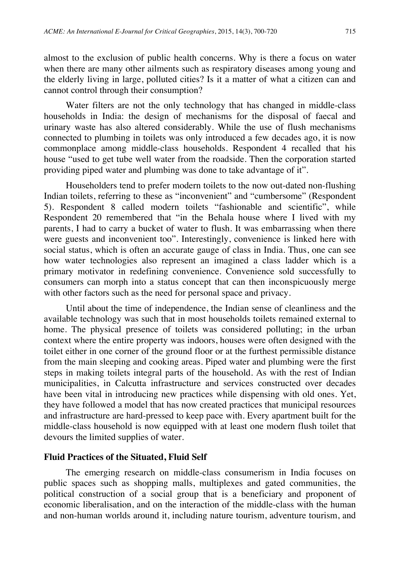almost to the exclusion of public health concerns. Why is there a focus on water when there are many other ailments such as respiratory diseases among young and the elderly living in large, polluted cities? Is it a matter of what a citizen can and cannot control through their consumption?

Water filters are not the only technology that has changed in middle-class households in India: the design of mechanisms for the disposal of faecal and urinary waste has also altered considerably. While the use of flush mechanisms connected to plumbing in toilets was only introduced a few decades ago, it is now commonplace among middle-class households. Respondent 4 recalled that his house "used to get tube well water from the roadside. Then the corporation started providing piped water and plumbing was done to take advantage of it".

Householders tend to prefer modern toilets to the now out-dated non-flushing Indian toilets, referring to these as "inconvenient" and "cumbersome" (Respondent 5). Respondent 8 called modern toilets "fashionable and scientific", while Respondent 20 remembered that "in the Behala house where I lived with my parents, I had to carry a bucket of water to flush. It was embarrassing when there were guests and inconvenient too". Interestingly, convenience is linked here with social status, which is often an accurate gauge of class in India. Thus, one can see how water technologies also represent an imagined a class ladder which is a primary motivator in redefining convenience. Convenience sold successfully to consumers can morph into a status concept that can then inconspicuously merge with other factors such as the need for personal space and privacy.

Until about the time of independence, the Indian sense of cleanliness and the available technology was such that in most households toilets remained external to home. The physical presence of toilets was considered polluting; in the urban context where the entire property was indoors, houses were often designed with the toilet either in one corner of the ground floor or at the furthest permissible distance from the main sleeping and cooking areas. Piped water and plumbing were the first steps in making toilets integral parts of the household. As with the rest of Indian municipalities, in Calcutta infrastructure and services constructed over decades have been vital in introducing new practices while dispensing with old ones. Yet, they have followed a model that has now created practices that municipal resources and infrastructure are hard-pressed to keep pace with. Every apartment built for the middle-class household is now equipped with at least one modern flush toilet that devours the limited supplies of water.

#### **Fluid Practices of the Situated, Fluid Self**

The emerging research on middle-class consumerism in India focuses on public spaces such as shopping malls, multiplexes and gated communities, the political construction of a social group that is a beneficiary and proponent of economic liberalisation, and on the interaction of the middle-class with the human and non-human worlds around it, including nature tourism, adventure tourism, and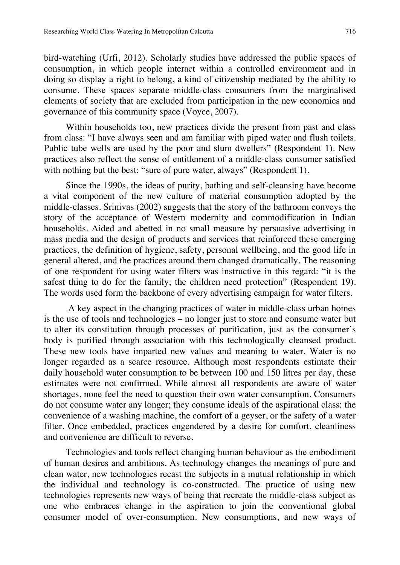bird-watching (Urfi, 2012). Scholarly studies have addressed the public spaces of consumption, in which people interact within a controlled environment and in doing so display a right to belong, a kind of citizenship mediated by the ability to consume. These spaces separate middle-class consumers from the marginalised elements of society that are excluded from participation in the new economics and governance of this community space (Voyce, 2007).

Within households too, new practices divide the present from past and class from class: "I have always seen and am familiar with piped water and flush toilets. Public tube wells are used by the poor and slum dwellers" (Respondent 1). New practices also reflect the sense of entitlement of a middle-class consumer satisfied with nothing but the best: "sure of pure water, always" (Respondent 1).

Since the 1990s, the ideas of purity, bathing and self-cleansing have become a vital component of the new culture of material consumption adopted by the middle-classes. Srinivas (2002) suggests that the story of the bathroom conveys the story of the acceptance of Western modernity and commodification in Indian households. Aided and abetted in no small measure by persuasive advertising in mass media and the design of products and services that reinforced these emerging practices, the definition of hygiene, safety, personal wellbeing, and the good life in general altered, and the practices around them changed dramatically. The reasoning of one respondent for using water filters was instructive in this regard: "it is the safest thing to do for the family; the children need protection" (Respondent 19). The words used form the backbone of every advertising campaign for water filters.

A key aspect in the changing practices of water in middle-class urban homes is the use of tools and technologies – no longer just to store and consume water but to alter its constitution through processes of purification, just as the consumer's body is purified through association with this technologically cleansed product. These new tools have imparted new values and meaning to water. Water is no longer regarded as a scarce resource. Although most respondents estimate their daily household water consumption to be between 100 and 150 litres per day, these estimates were not confirmed. While almost all respondents are aware of water shortages, none feel the need to question their own water consumption. Consumers do not consume water any longer; they consume ideals of the aspirational class: the convenience of a washing machine, the comfort of a geyser, or the safety of a water filter. Once embedded, practices engendered by a desire for comfort, cleanliness and convenience are difficult to reverse.

Technologies and tools reflect changing human behaviour as the embodiment of human desires and ambitions. As technology changes the meanings of pure and clean water, new technologies recast the subjects in a mutual relationship in which the individual and technology is co-constructed. The practice of using new technologies represents new ways of being that recreate the middle-class subject as one who embraces change in the aspiration to join the conventional global consumer model of over-consumption. New consumptions, and new ways of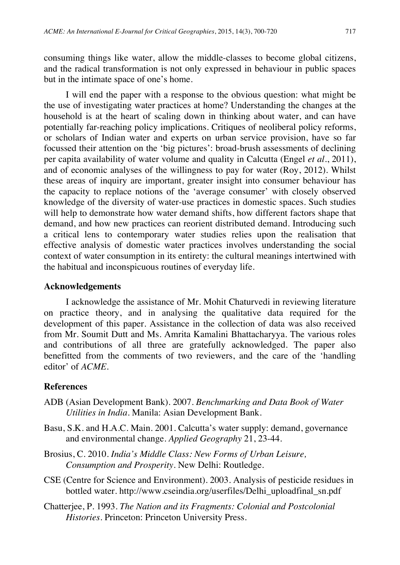consuming things like water, allow the middle-classes to become global citizens, and the radical transformation is not only expressed in behaviour in public spaces but in the intimate space of one's home.

I will end the paper with a response to the obvious question: what might be the use of investigating water practices at home? Understanding the changes at the household is at the heart of scaling down in thinking about water, and can have potentially far-reaching policy implications. Critiques of neoliberal policy reforms, or scholars of Indian water and experts on urban service provision, have so far focussed their attention on the 'big pictures': broad-brush assessments of declining per capita availability of water volume and quality in Calcutta (Engel *et al*., 2011), and of economic analyses of the willingness to pay for water (Roy, 2012). Whilst these areas of inquiry are important, greater insight into consumer behaviour has the capacity to replace notions of the 'average consumer' with closely observed knowledge of the diversity of water-use practices in domestic spaces. Such studies will help to demonstrate how water demand shifts, how different factors shape that demand, and how new practices can reorient distributed demand. Introducing such a critical lens to contemporary water studies relies upon the realisation that effective analysis of domestic water practices involves understanding the social context of water consumption in its entirety: the cultural meanings intertwined with the habitual and inconspicuous routines of everyday life.

#### **Acknowledgements**

I acknowledge the assistance of Mr. Mohit Chaturvedi in reviewing literature on practice theory, and in analysing the qualitative data required for the development of this paper. Assistance in the collection of data was also received from Mr. Soumit Dutt and Ms. Amrita Kamalini Bhattacharyya. The various roles and contributions of all three are gratefully acknowledged. The paper also benefitted from the comments of two reviewers, and the care of the 'handling editor' of *ACME*.

# **References**

- ADB (Asian Development Bank). 2007. *Benchmarking and Data Book of Water Utilities in India*. Manila: Asian Development Bank.
- Basu, S.K. and H.A.C. Main. 2001. Calcutta's water supply: demand, governance and environmental change. *Applied Geography* 21, 23-44.
- Brosius, C. 2010. *India's Middle Class: New Forms of Urban Leisure, Consumption and Prosperity*. New Delhi: Routledge.
- CSE (Centre for Science and Environment). 2003. Analysis of pesticide residues in bottled water. http://www.cseindia.org/userfiles/Delhi\_uploadfinal\_sn.pdf
- Chatterjee, P. 1993. *The Nation and its Fragments: Colonial and Postcolonial Histories*. Princeton: Princeton University Press.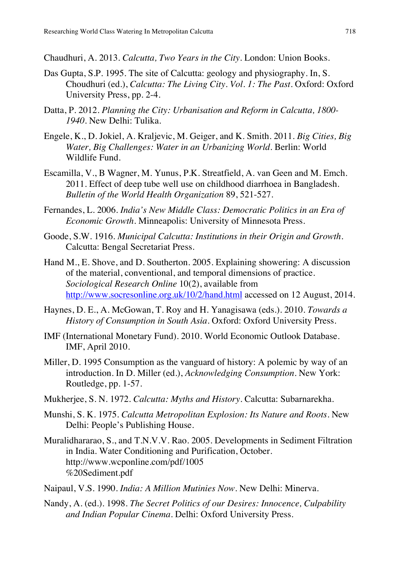Chaudhuri, A. 2013. *Calcutta, Two Years in the City*. London: Union Books.

- Das Gupta, S.P. 1995. The site of Calcutta: geology and physiography. In, S. Choudhuri (ed.), *Calcutta: The Living City. Vol. 1: The Past*. Oxford: Oxford University Press, pp. 2-4.
- Datta, P. 2012. *Planning the City: Urbanisation and Reform in Calcutta, 1800- 1940*. New Delhi: Tulika.
- Engele, K., D. Jokiel, A. Kraljevic, M. Geiger, and K. Smith. 2011. *Big Cities, Big Water, Big Challenges: Water in an Urbanizing World*. Berlin: World Wildlife Fund.
- Escamilla, V., B Wagner, M. Yunus, P.K. Streatfield, A. van Geen and M. Emch. 2011. Effect of deep tube well use on childhood diarrhoea in Bangladesh. *Bulletin of the World Health Organization* 89, 521-527.
- Fernandes, L. 2006. *India's New Middle Class: Democratic Politics in an Era of Economic Growth*. Minneapolis: University of Minnesota Press.
- Goode, S.W. 1916. *Municipal Calcutta: Institutions in their Origin and Growth*. Calcutta: Bengal Secretariat Press.
- Hand M., E. Shove, and D. Southerton. 2005. Explaining showering: A discussion of the material, conventional, and temporal dimensions of practice. *Sociological Research Online* 10(2), available from http://www.socresonline.org.uk/10/2/hand.html accessed on 12 August, 2014.
- Haynes, D. E., A. McGowan, T. Roy and H. Yanagisawa (eds.). 2010. *Towards a History of Consumption in South Asia*. Oxford: Oxford University Press.
- IMF (International Monetary Fund). 2010. World Economic Outlook Database. IMF, April 2010.
- Miller, D. 1995 Consumption as the vanguard of history: A polemic by way of an introduction. In D. Miller (ed.), *Acknowledging Consumption*. New York: Routledge, pp. 1-57.
- Mukherjee, S. N. 1972. *Calcutta: Myths and History*. Calcutta: Subarnarekha.
- Munshi, S. K. 1975. *Calcutta Metropolitan Explosion: Its Nature and Roots*. New Delhi: People's Publishing House.
- Muralidhararao, S., and T.N.V.V. Rao. 2005. Developments in Sediment Filtration in India. Water Conditioning and Purification, October. http://www.wcponline.com/pdf/1005 %20Sediment.pdf
- Naipaul, V.S. 1990. *India: A Million Mutinies Now*. New Delhi: Minerva.
- Nandy, A. (ed.). 1998. *The Secret Politics of our Desires: Innocence, Culpability and Indian Popular Cinema*. Delhi: Oxford University Press.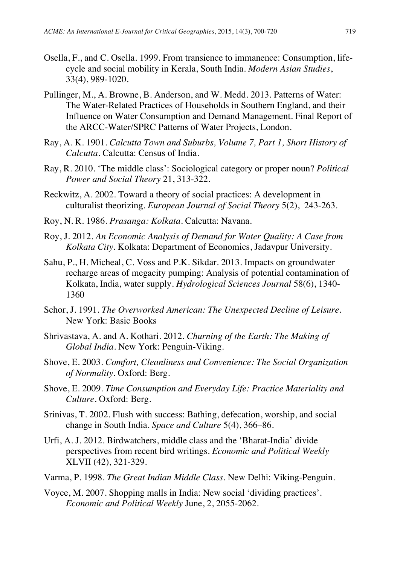- Osella, F., and C. Osella. 1999. From transience to immanence: Consumption, lifecycle and social mobility in Kerala, South India. *Modern Asian Studies*, 33(4), 989-1020.
- Pullinger, M., A. Browne, B. Anderson, and W. Medd. 2013. Patterns of Water: The Water-Related Practices of Households in Southern England, and their Influence on Water Consumption and Demand Management. Final Report of the ARCC-Water/SPRC Patterns of Water Projects, London.
- Ray, A. K. 1901. *Calcutta Town and Suburbs, Volume 7, Part 1, Short History of Calcutta*. Calcutta: Census of India.
- Ray, R. 2010. 'The middle class': Sociological category or proper noun? *Political Power and Social Theory* 21, 313-322.
- Reckwitz, A. 2002. Toward a theory of social practices: A development in culturalist theorizing. *European Journal of Social Theory* 5(2), 243-263.
- Roy, N. R. 1986. *Prasanga: Kolkata*. Calcutta: Navana.
- Roy, J. 2012. *An Economic Analysis of Demand for Water Quality: A Case from Kolkata City*. Kolkata: Department of Economics, Jadavpur University.
- Sahu, P., H. Micheal, C. Voss and P.K. Sikdar. 2013. Impacts on groundwater recharge areas of megacity pumping: Analysis of potential contamination of Kolkata, India, water supply. *Hydrological Sciences Journal* 58(6), 1340- 1360
- Schor, J. 1991. *The Overworked American: The Unexpected Decline of Leisure*. New York: Basic Books
- Shrivastava, A. and A. Kothari. 2012. *Churning of the Earth: The Making of Global India*. New York: Penguin-Viking.
- Shove, E. 2003. *Comfort, Cleanliness and Convenience: The Social Organization of Normality*. Oxford: Berg.
- Shove, E. 2009. *Time Consumption and Everyday Life: Practice Materiality and Culture*. Oxford: Berg.
- Srinivas, T. 2002. Flush with success: Bathing, defecation, worship, and social change in South India. *Space and Culture* 5(4), 366–86.
- Urfi, A. J. 2012. Birdwatchers, middle class and the 'Bharat-India' divide perspectives from recent bird writings. *Economic and Political Weekly* XLVII (42), 321-329.
- Varma, P. 1998. *The Great Indian Middle Class*. New Delhi: Viking-Penguin.
- Voyce, M. 2007. Shopping malls in India: New social 'dividing practices'. *Economic and Political Weekly* June, 2, 2055-2062.